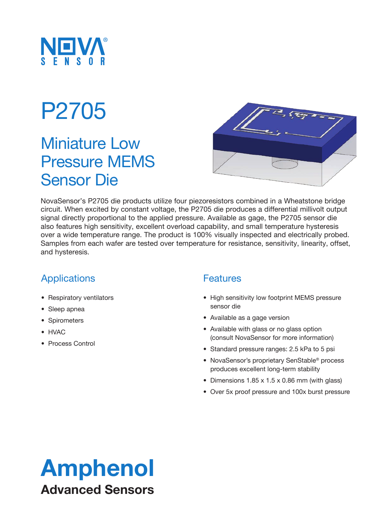

### P2705

### Miniature Low Pressure MEMS Sensor Die



NovaSensor's P2705 die products utilize four piezoresistors combined in a Wheatstone bridge circuit. When excited by constant voltage, the P2705 die produces a differential millivolt output signal directly proportional to the applied pressure. Available as gage, the P2705 sensor die also features high sensitivity, excellent overload capability, and small temperature hysteresis over a wide temperature range. The product is 100% visually inspected and electrically probed. Samples from each wafer are tested over temperature for resistance, sensitivity, linearity, offset, and hysteresis.

### Applications

- Respiratory ventilators
- Sleep apnea
- Spirometers
- HVAC
- Process Control

#### **Features**

- High sensitivity low footprint MEMS pressure sensor die
- Available as a gage version
- Available with glass or no glass option (consult NovaSensor for more information)
- Standard pressure ranges: 2.5 kPa to 5 psi
- NovaSensor's proprietary SenStable® process produces excellent long-term stability
- Dimensions 1.85 x 1.5 x 0.86 mm (with glass)
- Over 5x proof pressure and 100x burst pressure

### Amphenol Advanced Sensors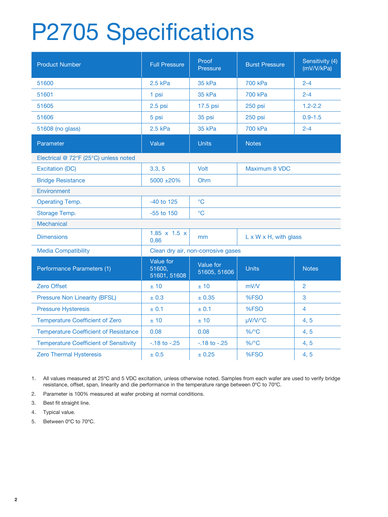# P2705 Specifications

| <b>Product Number</b>                         | <b>Full Pressure</b>                | Proof<br>Pressure         | <b>Burst Pressure</b>              | Sensitivity (4)<br>(mV/V/kPa) |  |
|-----------------------------------------------|-------------------------------------|---------------------------|------------------------------------|-------------------------------|--|
| 51600                                         | 2.5 kPa                             | <b>35 kPa</b>             | 700 kPa                            | $2 - 4$                       |  |
| 51601                                         | 1 psi                               | 35 kPa                    | 700 kPa                            | $2 - 4$                       |  |
| 51605                                         | $2.5$ psi                           | 17.5 psi                  | 250 psi                            | $1.2 - 2.2$                   |  |
| 51606                                         | 5 psi                               | 35 psi                    | 250 psi                            | $0.9 - 1.5$                   |  |
| 51608 (no glass)                              | 2.5 kPa                             | 35 kPa                    | 700 kPa                            | $2 - 4$                       |  |
| Parameter                                     | Value                               | <b>Units</b>              | <b>Notes</b>                       |                               |  |
| Electrical @ 72°F (25°C) unless noted         |                                     |                           |                                    |                               |  |
| <b>Excitation (DC)</b>                        | 3.3, 5                              | Volt                      | Maximum 8 VDC                      |                               |  |
| <b>Bridge Resistance</b>                      | $5000 + 20\%$                       | Ohm                       |                                    |                               |  |
| Environment                                   |                                     |                           |                                    |                               |  |
| <b>Operating Temp.</b>                        | $-40$ to 125                        | $\rm ^{\circ}C$           |                                    |                               |  |
| Storage Temp.                                 | $-55$ to $150$                      | $\rm ^{\circ}C$           |                                    |                               |  |
| <b>Mechanical</b>                             |                                     |                           |                                    |                               |  |
| <b>Dimensions</b>                             | $1.85 \times 1.5 \times$<br>0.86    | mm                        | $L \times W \times H$ , with glass |                               |  |
| <b>Media Compatibility</b>                    | Clean dry air, non-corrosive gases  |                           |                                    |                               |  |
| Performance Parameters (1)                    | Value for<br>51600,<br>51601, 51608 | Value for<br>51605, 51606 | <b>Units</b>                       | <b>Notes</b>                  |  |
| <b>Zero Offset</b>                            | ±10                                 | ±10                       | mV/V                               | $\overline{2}$                |  |
| <b>Pressure Non Linearity (BFSL)</b>          | ± 0.3                               | ± 0.35                    | %FSO                               | 3                             |  |
| <b>Pressure Hysteresis</b>                    | ± 0.1                               | ± 0.1                     | %FSO                               | $\overline{\mathbf{4}}$       |  |
| <b>Temperature Coefficient of Zero</b>        | ±10                                 | ±10                       | µV/V/°C                            | 4, 5                          |  |
| <b>Temperature Coefficient of Resistance</b>  | 0.08                                | 0.08                      | $\%$ /°C                           | 4, 5                          |  |
| <b>Temperature Coefficient of Sensitivity</b> | $-18$ to $-25$                      | $-18$ to $-25$            | $\%$ /°C                           | 4, 5                          |  |
| <b>Zero Thermal Hysteresis</b>                | ± 0.5                               | ± 0.25                    | %FSO                               | 4, 5                          |  |

1. All values measured at 25ºC and 5 VDC excitation, unless otherwise noted. Samples from each wafer are used to verify bridge resistance, offset, span, linearity and die performance in the temperature range between 0ºC to 70ºC.

2. Parameter is 100% measured at wafer probing at normal conditions.

3. Best fit straight line.

4. Typical value.

5. Between 0ºC to 70ºC.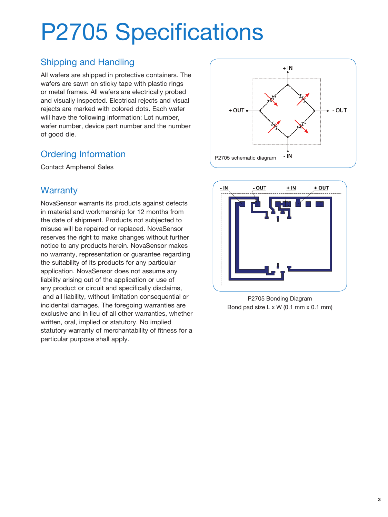## P2705 Specifications

### Shipping and Handling

All wafers are shipped in protective containers. The wafers are sawn on sticky tape with plastic rings or metal frames. All wafers are electrically probed and visually inspected. Electrical rejects and visual rejects are marked with colored dots. Each wafer will have the following information: Lot number, wafer number, device part number and the number of good die.

### Ordering Information

Contact Amphenol Sales

#### **Warranty**

NovaSensor warrants its products against defects in material and workmanship for 12 months from the date of shipment. Products not subjected to misuse will be repaired or replaced. NovaSensor reserves the right to make changes without further notice to any products herein. NovaSensor makes no warranty, representation or guarantee regarding the suitability of its products for any particular application. NovaSensor does not assume any liability arising out of the application or use of any product or circuit and specifically disclaims, and all liability, without limitation consequential or incidental damages. The foregoing warranties are exclusive and in lieu of all other warranties, whether written, oral, implied or statutory. No implied statutory warranty of merchantability of fitness for a particular purpose shall apply.





P2705 Bonding Diagram Bond pad size L x W (0.1 mm x 0.1 mm)